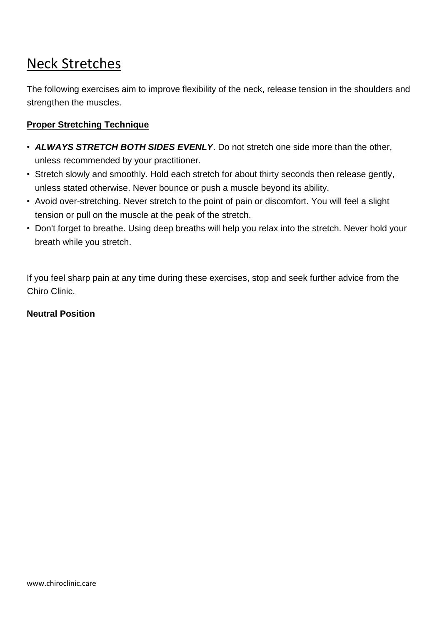# Neck Stretches

The following exercises aim to improve flexibility of the neck, release tension in the shoulders and strengthen the muscles.

## **Proper Stretching Technique**

- *ALWAYS STRETCH BOTH SIDES EVENLY*. Do not stretch one side more than the other, unless recommended by your practitioner.
- Stretch slowly and smoothly. Hold each stretch for about thirty seconds then release gently, unless stated otherwise. Never bounce or push a muscle beyond its ability.
- Avoid over-stretching. Never stretch to the point of pain or discomfort. You will feel a slight tension or pull on the muscle at the peak of the stretch.
- Don't forget to breathe. Using deep breaths will help you relax into the stretch. Never hold your breath while you stretch.

If you feel sharp pain at any time during these exercises, stop and seek further advice from the Chiro Clinic.

#### **Neutral Position**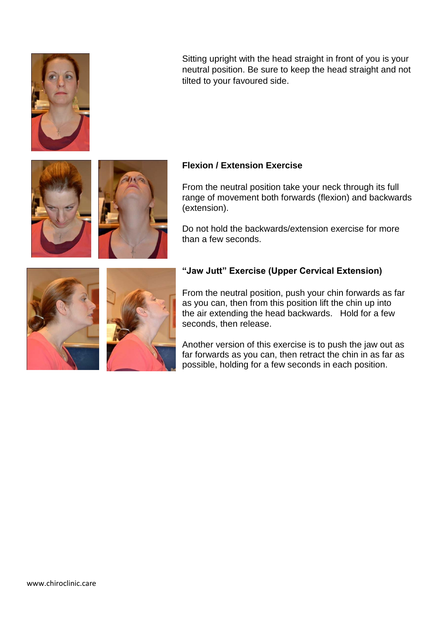

Sitting upright with the head straight in front of you is your neutral position. Be sure to keep the head straight and not tilted to your favoured side.



From the neutral position take your neck through its full range of movement both forwards (flexion) and backwards (extension).

Do not hold the backwards/extension exercise for more than a few seconds.





### **"Jaw Jutt" Exercise (Upper Cervical Extension)**

From the neutral position, push your chin forwards as far as you can, then from this position lift the chin up into the air extending the head backwards. Hold for a few seconds, then release.

Another version of this exercise is to push the jaw out as far forwards as you can, then retract the chin in as far as possible, holding for a few seconds in each position.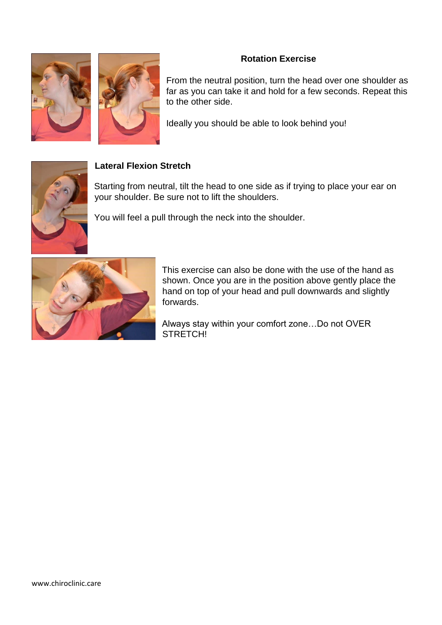### **Rotation Exercise**





From the neutral position, turn the head over one shoulder as far as you can take it and hold for a few seconds. Repeat this to the other side.

Ideally you should be able to look behind you!



### **Lateral Flexion Stretch**

Starting from neutral, tilt the head to one side as if trying to place your ear on your shoulder. Be sure not to lift the shoulders.

You will feel a pull through the neck into the shoulder.



This exercise can also be done with the use of the hand as shown. Once you are in the position above gently place the hand on top of your head and pull downwards and slightly forwards.

Always stay within your comfort zone…Do not OVER STRETCH!